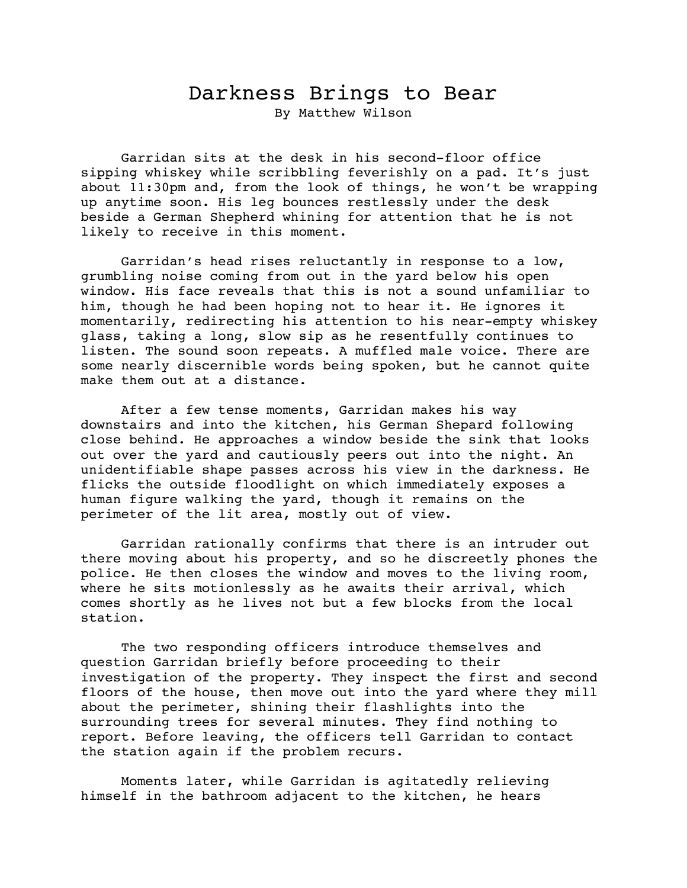## Darkness Brings to Bear By Matthew Wilson

Garridan sits at the desk in his second-floor office sipping whiskey while scribbling feverishly on a pad. It's just about 11:30pm and, from the look of things, he won't be wrapping up anytime soon. His leg bounces restlessly under the desk beside a German Shepherd whining for attention that he is not likely to receive in this moment.

Garridan's head rises reluctantly in response to a low, grumbling noise coming from out in the yard below his open window. His face reveals that this is not a sound unfamiliar to him, though he had been hoping not to hear it. He ignores it momentarily, redirecting his attention to his near-empty whiskey glass, taking a long, slow sip as he resentfully continues to listen. The sound soon repeats. A muffled male voice. There are some nearly discernible words being spoken, but he cannot quite make them out at a distance.

After a few tense moments, Garridan makes his way downstairs and into the kitchen, his German Shepard following close behind. He approaches a window beside the sink that looks out over the yard and cautiously peers out into the night. An unidentifiable shape passes across his view in the darkness. He flicks the outside floodlight on which immediately exposes a human figure walking the yard, though it remains on the perimeter of the lit area, mostly out of view.

Garridan rationally confirms that there is an intruder out there moving about his property, and so he discreetly phones the police. He then closes the window and moves to the living room, where he sits motionlessly as he awaits their arrival, which comes shortly as he lives not but a few blocks from the local station.

The two responding officers introduce themselves and question Garridan briefly before proceeding to their investigation of the property. They inspect the first and second floors of the house, then move out into the yard where they mill about the perimeter, shining their flashlights into the surrounding trees for several minutes. They find nothing to report. Before leaving, the officers tell Garridan to contact the station again if the problem recurs.

Moments later, while Garridan is agitatedly relieving himself in the bathroom adjacent to the kitchen, he hears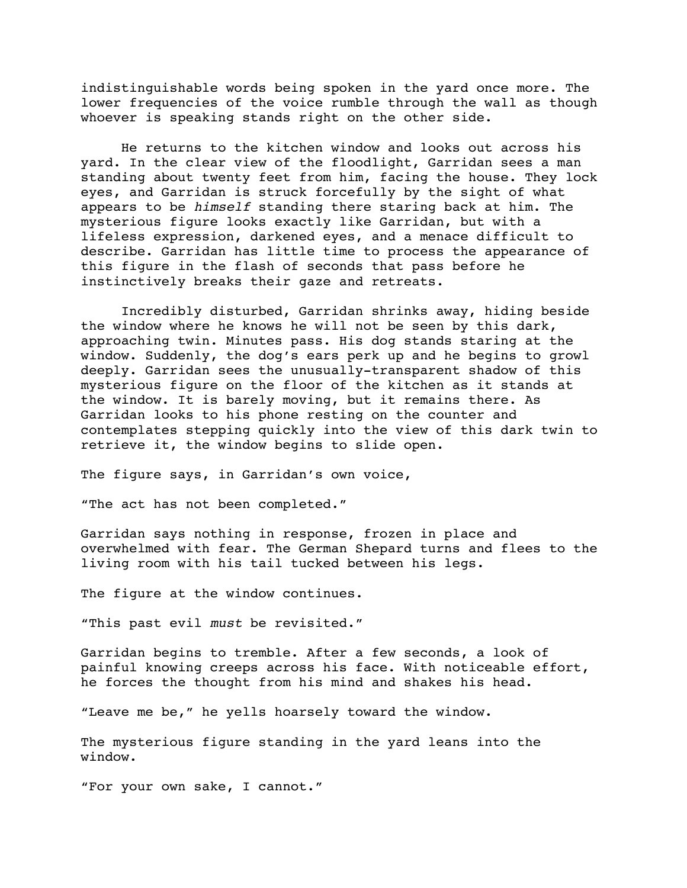indistinguishable words being spoken in the yard once more. The lower frequencies of the voice rumble through the wall as though whoever is speaking stands right on the other side.

He returns to the kitchen window and looks out across his yard. In the clear view of the floodlight, Garridan sees a man standing about twenty feet from him, facing the house. They lock eyes, and Garridan is struck forcefully by the sight of what appears to be *himself* standing there staring back at him. The mysterious figure looks exactly like Garridan, but with a lifeless expression, darkened eyes, and a menace difficult to describe. Garridan has little time to process the appearance of this figure in the flash of seconds that pass before he instinctively breaks their gaze and retreats.

Incredibly disturbed, Garridan shrinks away, hiding beside the window where he knows he will not be seen by this dark, approaching twin. Minutes pass. His dog stands staring at the window. Suddenly, the dog's ears perk up and he begins to growl deeply. Garridan sees the unusually-transparent shadow of this mysterious figure on the floor of the kitchen as it stands at the window. It is barely moving, but it remains there. As Garridan looks to his phone resting on the counter and contemplates stepping quickly into the view of this dark twin to retrieve it, the window begins to slide open.

The figure says, in Garridan's own voice,

"The act has not been completed."

Garridan says nothing in response, frozen in place and overwhelmed with fear. The German Shepard turns and flees to the living room with his tail tucked between his legs.

The figure at the window continues.

"This past evil *must* be revisited."

Garridan begins to tremble. After a few seconds, a look of painful knowing creeps across his face. With noticeable effort, he forces the thought from his mind and shakes his head.

"Leave me be," he yells hoarsely toward the window.

The mysterious figure standing in the yard leans into the window.

"For your own sake, I cannot."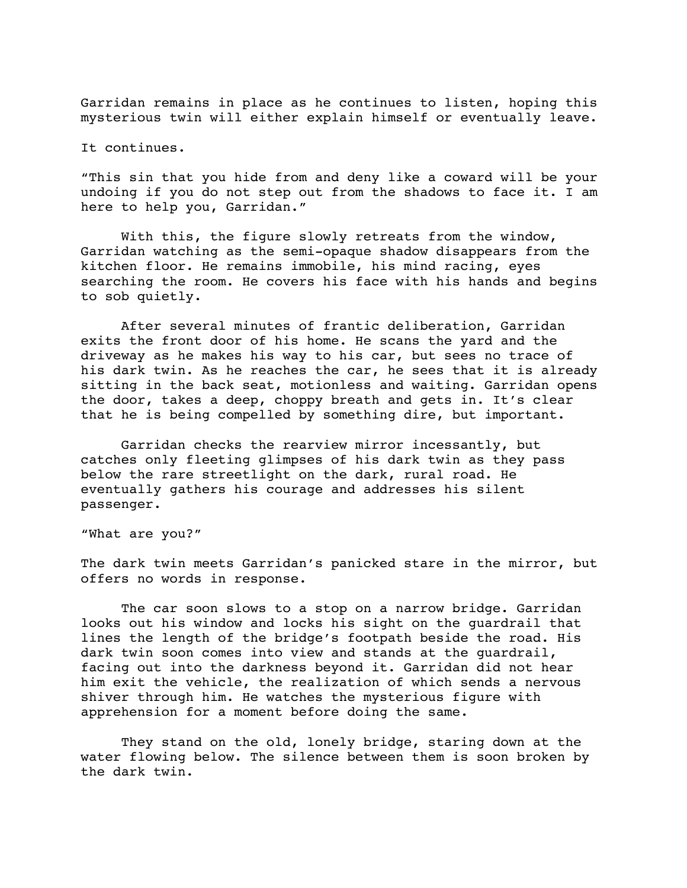Garridan remains in place as he continues to listen, hoping this mysterious twin will either explain himself or eventually leave.

It continues.

"This sin that you hide from and deny like a coward will be your undoing if you do not step out from the shadows to face it. I am here to help you, Garridan."

With this, the figure slowly retreats from the window, Garridan watching as the semi-opaque shadow disappears from the kitchen floor. He remains immobile, his mind racing, eyes searching the room. He covers his face with his hands and begins to sob quietly.

After several minutes of frantic deliberation, Garridan exits the front door of his home. He scans the yard and the driveway as he makes his way to his car, but sees no trace of his dark twin. As he reaches the car, he sees that it is already sitting in the back seat, motionless and waiting. Garridan opens the door, takes a deep, choppy breath and gets in. It's clear that he is being compelled by something dire, but important.

Garridan checks the rearview mirror incessantly, but catches only fleeting glimpses of his dark twin as they pass below the rare streetlight on the dark, rural road. He eventually gathers his courage and addresses his silent passenger.

"What are you?"

The dark twin meets Garridan's panicked stare in the mirror, but offers no words in response.

The car soon slows to a stop on a narrow bridge. Garridan looks out his window and locks his sight on the guardrail that lines the length of the bridge's footpath beside the road. His dark twin soon comes into view and stands at the guardrail, facing out into the darkness beyond it. Garridan did not hear him exit the vehicle, the realization of which sends a nervous shiver through him. He watches the mysterious figure with apprehension for a moment before doing the same.

They stand on the old, lonely bridge, staring down at the water flowing below. The silence between them is soon broken by the dark twin.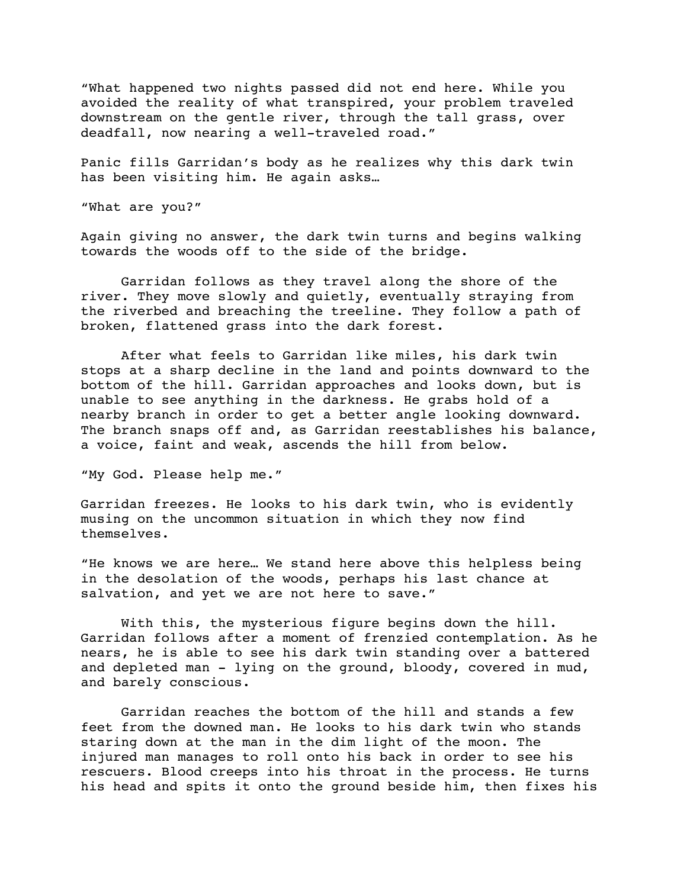"What happened two nights passed did not end here. While you avoided the reality of what transpired, your problem traveled downstream on the gentle river, through the tall grass, over deadfall, now nearing a well-traveled road."

Panic fills Garridan's body as he realizes why this dark twin has been visiting him. He again asks…

"What are you?"

Again giving no answer, the dark twin turns and begins walking towards the woods off to the side of the bridge.

Garridan follows as they travel along the shore of the river. They move slowly and quietly, eventually straying from the riverbed and breaching the treeline. They follow a path of broken, flattened grass into the dark forest.

After what feels to Garridan like miles, his dark twin stops at a sharp decline in the land and points downward to the bottom of the hill. Garridan approaches and looks down, but is unable to see anything in the darkness. He grabs hold of a nearby branch in order to get a better angle looking downward. The branch snaps off and, as Garridan reestablishes his balance, a voice, faint and weak, ascends the hill from below.

"My God. Please help me."

Garridan freezes. He looks to his dark twin, who is evidently musing on the uncommon situation in which they now find themselves.

"He knows we are here… We stand here above this helpless being in the desolation of the woods, perhaps his last chance at salvation, and yet we are not here to save."

With this, the mysterious figure begins down the hill. Garridan follows after a moment of frenzied contemplation. As he nears, he is able to see his dark twin standing over a battered and depleted man - lying on the ground, bloody, covered in mud, and barely conscious.

Garridan reaches the bottom of the hill and stands a few feet from the downed man. He looks to his dark twin who stands staring down at the man in the dim light of the moon. The injured man manages to roll onto his back in order to see his rescuers. Blood creeps into his throat in the process. He turns his head and spits it onto the ground beside him, then fixes his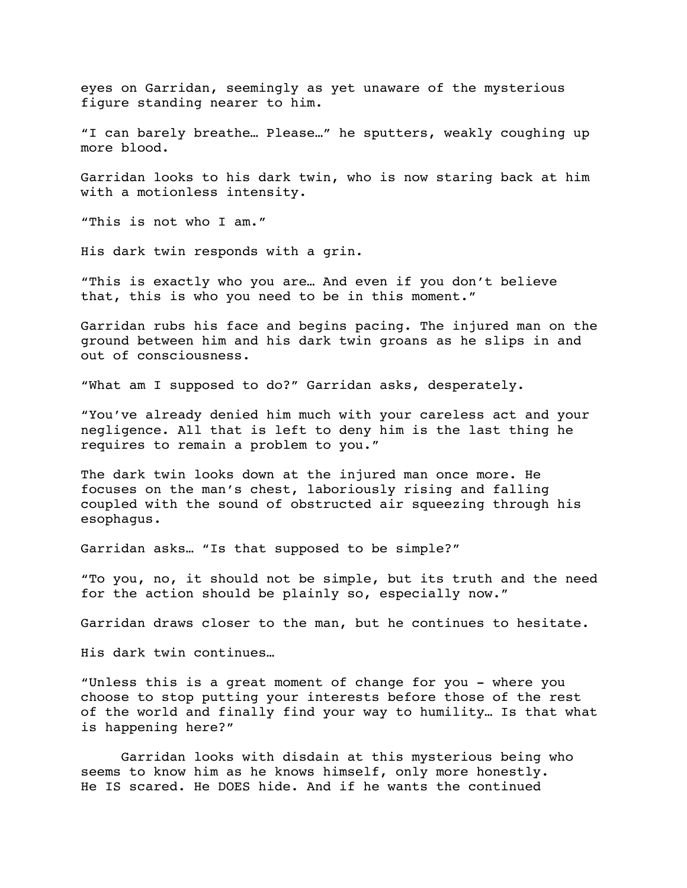eyes on Garridan, seemingly as yet unaware of the mysterious figure standing nearer to him.

"I can barely breathe… Please…" he sputters, weakly coughing up more blood.

Garridan looks to his dark twin, who is now staring back at him with a motionless intensity.

"This is not who I am."

His dark twin responds with a grin.

"This is exactly who you are… And even if you don't believe that, this is who you need to be in this moment."

Garridan rubs his face and begins pacing. The injured man on the ground between him and his dark twin groans as he slips in and out of consciousness.

"What am I supposed to do?" Garridan asks, desperately.

"You've already denied him much with your careless act and your negligence. All that is left to deny him is the last thing he requires to remain a problem to you."

The dark twin looks down at the injured man once more. He focuses on the man's chest, laboriously rising and falling coupled with the sound of obstructed air squeezing through his esophagus.

Garridan asks… "Is that supposed to be simple?"

"To you, no, it should not be simple, but its truth and the need for the action should be plainly so, especially now."

Garridan draws closer to the man, but he continues to hesitate.

His dark twin continues…

"Unless this is a great moment of change for you - where you choose to stop putting your interests before those of the rest of the world and finally find your way to humility… Is that what is happening here?"

Garridan looks with disdain at this mysterious being who seems to know him as he knows himself, only more honestly. He IS scared. He DOES hide. And if he wants the continued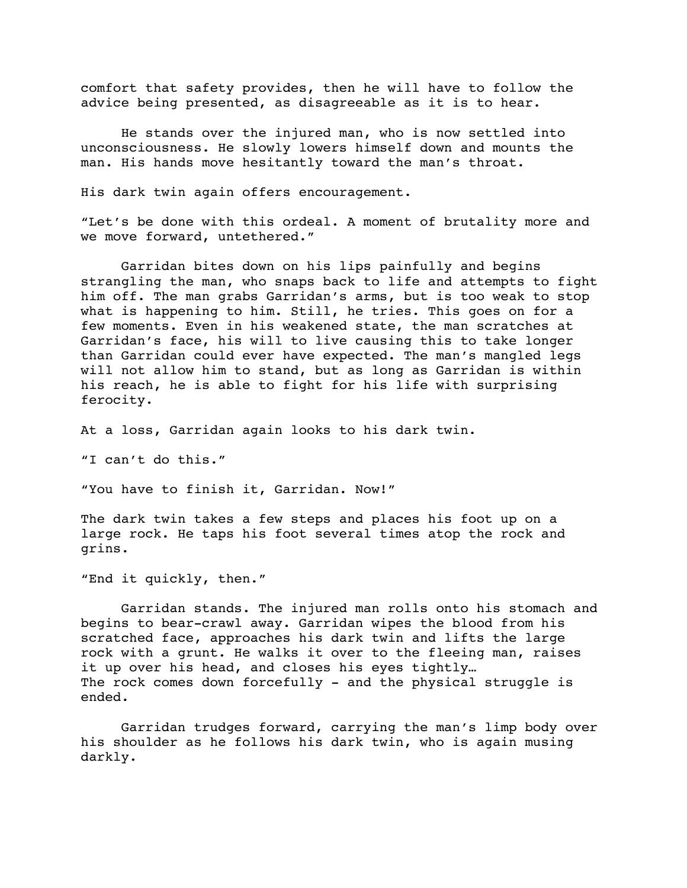comfort that safety provides, then he will have to follow the advice being presented, as disagreeable as it is to hear.

He stands over the injured man, who is now settled into unconsciousness. He slowly lowers himself down and mounts the man. His hands move hesitantly toward the man's throat.

His dark twin again offers encouragement.

"Let's be done with this ordeal. A moment of brutality more and we move forward, untethered."

Garridan bites down on his lips painfully and begins strangling the man, who snaps back to life and attempts to fight him off. The man grabs Garridan's arms, but is too weak to stop what is happening to him. Still, he tries. This goes on for a few moments. Even in his weakened state, the man scratches at Garridan's face, his will to live causing this to take longer than Garridan could ever have expected. The man's mangled legs will not allow him to stand, but as long as Garridan is within his reach, he is able to fight for his life with surprising ferocity.

At a loss, Garridan again looks to his dark twin.

"I can't do this."

"You have to finish it, Garridan. Now!"

The dark twin takes a few steps and places his foot up on a large rock. He taps his foot several times atop the rock and grins.

"End it quickly, then."

Garridan stands. The injured man rolls onto his stomach and begins to bear-crawl away. Garridan wipes the blood from his scratched face, approaches his dark twin and lifts the large rock with a grunt. He walks it over to the fleeing man, raises it up over his head, and closes his eyes tightly… The rock comes down forcefully - and the physical struggle is ended.

Garridan trudges forward, carrying the man's limp body over his shoulder as he follows his dark twin, who is again musing darkly.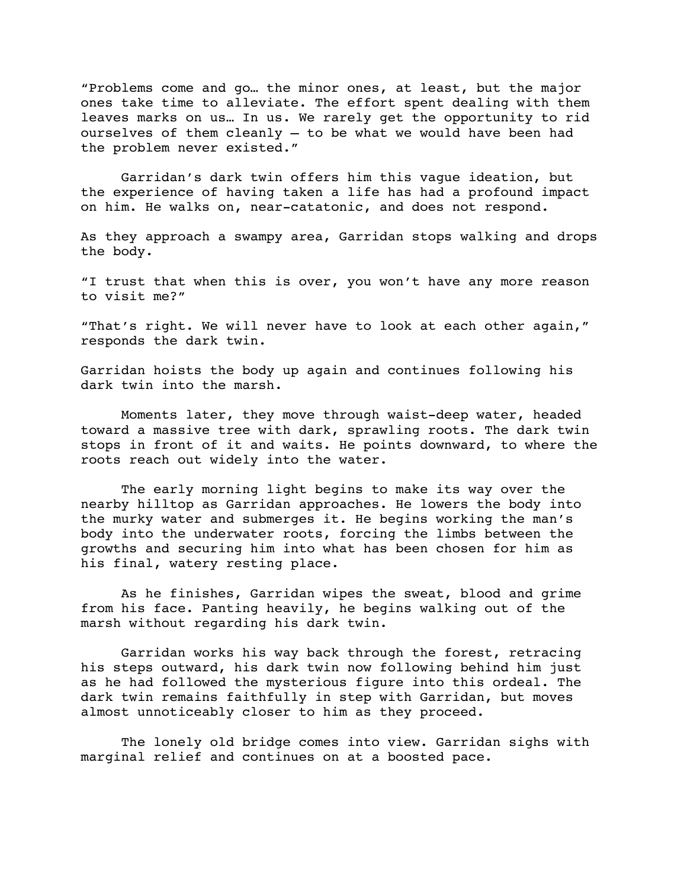"Problems come and go… the minor ones, at least, but the major ones take time to alleviate. The effort spent dealing with them leaves marks on us… In us. We rarely get the opportunity to rid ourselves of them cleanly – to be what we would have been had the problem never existed."

Garridan's dark twin offers him this vague ideation, but the experience of having taken a life has had a profound impact on him. He walks on, near-catatonic, and does not respond.

As they approach a swampy area, Garridan stops walking and drops the body.

"I trust that when this is over, you won't have any more reason to visit me?"

"That's right. We will never have to look at each other again," responds the dark twin.

Garridan hoists the body up again and continues following his dark twin into the marsh.

Moments later, they move through waist-deep water, headed toward a massive tree with dark, sprawling roots. The dark twin stops in front of it and waits. He points downward, to where the roots reach out widely into the water.

The early morning light begins to make its way over the nearby hilltop as Garridan approaches. He lowers the body into the murky water and submerges it. He begins working the man's body into the underwater roots, forcing the limbs between the growths and securing him into what has been chosen for him as his final, watery resting place.

As he finishes, Garridan wipes the sweat, blood and grime from his face. Panting heavily, he begins walking out of the marsh without regarding his dark twin.

Garridan works his way back through the forest, retracing his steps outward, his dark twin now following behind him just as he had followed the mysterious figure into this ordeal. The dark twin remains faithfully in step with Garridan, but moves almost unnoticeably closer to him as they proceed.

The lonely old bridge comes into view. Garridan sighs with marginal relief and continues on at a boosted pace.